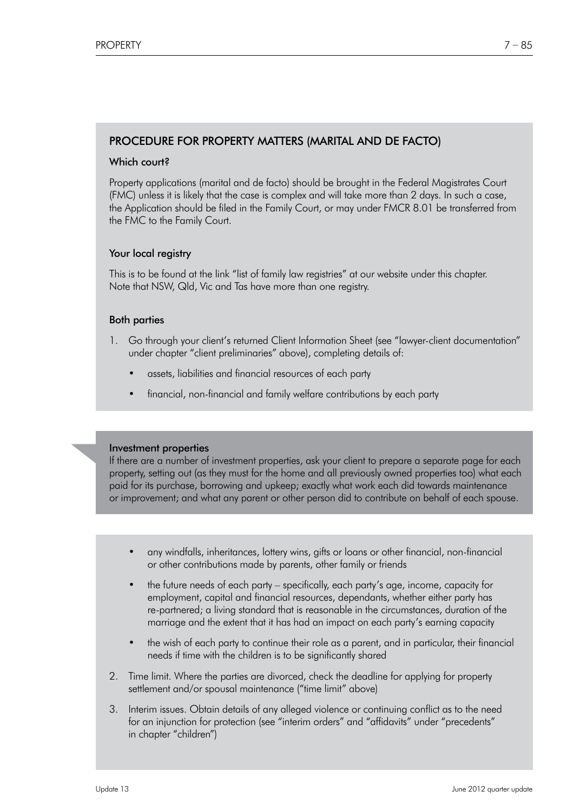# PROCEDURE FOR PROPERTY MATTERS (MARITAL AND DE FACTO)

# Which court?

 Property applications (marital and de facto) should be brought in the Federal Magistrates Court (FMC) unless it is likely that the case is complex and will take more than 2 days. In such a case, the Application should be filed in the Family Court, or may under FMCR 8.01 be transferred from the FMC to the Family Court.

## Your local registry

 This is to be found at the link "list of family law registries" at our website under this chapter. Note that NSW, Qld, Vic and Tas have more than one registry.

### Both parties

- 1. Go through your client's returned Client Information Sheet (see "lawyer-client documentation" under chapter "client preliminaries" above), completing details of:
	- assets, liabilities and financial resources of each party
	- financial, non-financial and family welfare contributions by each party

 Investment properties If there are a number of investment properties, ask your client to prepare a separate page for each property, setting out (as they must for the home and all previously owned properties too) what each paid for its purchase, borrowing and upkeep; exactly what work each did towards maintenance or improvement; and what any parent or other person did to contribute on behalf of each spouse.

- any windfalls, inheritances, lottery wins, gifts or loans or other financial, non-financial or other contributions made by parents, other family or friends
- the future needs of each party specifically, each party's age, income, capacity for employment, capital and financial resources, dependants, whether either party has re-partnered; a living standard that is reasonable in the circumstances, duration of the marriage and the extent that it has had an impact on each party's earning capacity
- the wish of each party to continue their role as a parent, and in particular, their financial needs if time with the children is to be significantly shared
- 2. Time limit. Where the parties are divorced, check the deadline for applying for property settlement and/or spousal maintenance ("time limit" above)
- 3. Interim issues. Obtain details of any alleged violence or continuing conflict as to the need for an injunction for protection (see "interim orders" and "affidavits" under "precedents" in chapter "children")